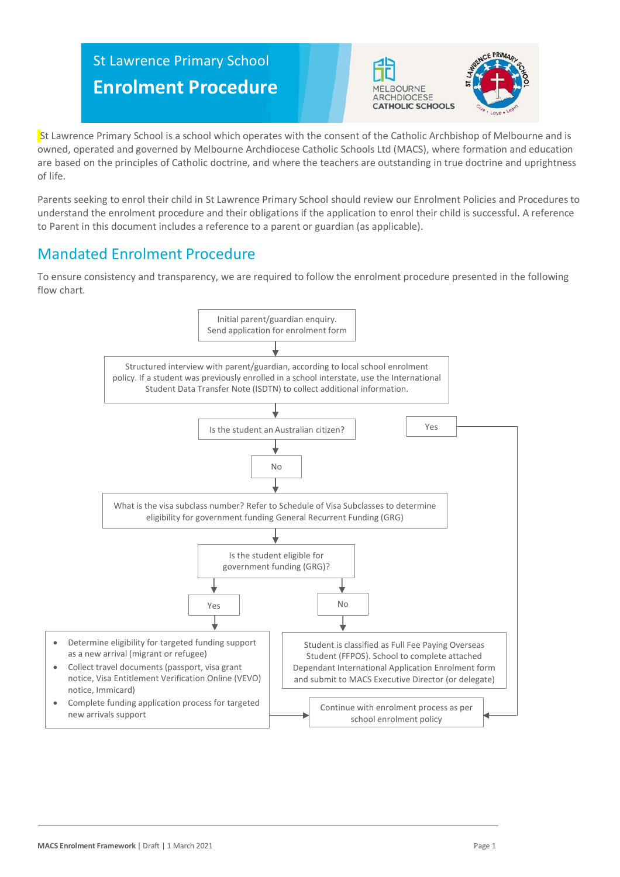# St Lawrence Primary School **Enrolment Procedure**





St Lawrence Primary School is a school which operates with the consent of the Catholic Archbishop of Melbourne and is owned, operated and governed by Melbourne Archdiocese Catholic Schools Ltd (MACS), where formation and education are based on the principles of Catholic doctrine, and where the teachers are outstanding in true doctrine and uprightness of life.

Parents seeking to enrol their child in St Lawrence Primary School should review our Enrolment Policies and Procedures to understand the enrolment procedure and their obligations if the application to enrol their child is successful. A reference to Parent in this document includes a reference to a parent or guardian (as applicable).

# Mandated Enrolment Procedure

To ensure consistency and transparency, we are required to follow the enrolment procedure presented in the following flow chart.

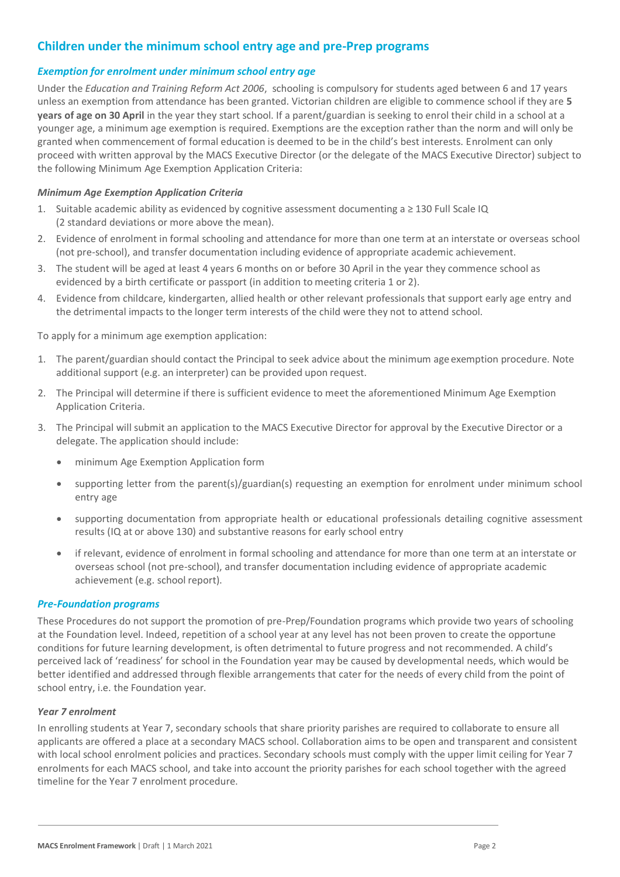## **Children under the minimum school entry age and pre-Prep programs**

#### *Exemption for enrolment under minimum school entry age*

Under the *Education and Training Reform Act 2006*, schooling is compulsory for students aged between 6 and 17 years unless an exemption from attendance has been granted. Victorian children are eligible to commence school if they are **5 years of age on 30 April** in the year they start school. If a parent/guardian is seeking to enrol their child in a school at a younger age, a minimum age exemption is required. Exemptions are the exception rather than the norm and will only be granted when commencement of formal education is deemed to be in the child's best interests. Enrolment can only proceed with written approval by the MACS Executive Director (or the delegate of the MACS Executive Director) subject to the following Minimum Age Exemption Application Criteria:

#### *Minimum Age Exemption Application Criteria*

- 1. Suitable academic ability as evidenced by cognitive assessment documenting a ≥ 130 Full Scale IQ (2 standard deviations or more above the mean).
- 2. Evidence of enrolment in formal schooling and attendance for more than one term at an interstate or overseas school (not pre-school), and transfer documentation including evidence of appropriate academic achievement.
- 3. The student will be aged at least 4 years 6 months on or before 30 April in the year they commence school as evidenced by a birth certificate or passport (in addition to meeting criteria 1 or 2).
- 4. Evidence from childcare, kindergarten, allied health or other relevant professionals that support early age entry and the detrimental impacts to the longer term interests of the child were they not to attend school.

To apply for a minimum age exemption application:

- 1. The parent/guardian should contact the Principal to seek advice about the minimum ageexemption procedure. Note additional support (e.g. an interpreter) can be provided upon request.
- 2. The Principal will determine if there is sufficient evidence to meet the aforementioned Minimum Age Exemption Application Criteria.
- 3. The Principal will submit an application to the MACS Executive Director for approval by the Executive Director or a delegate. The application should include:
	- minimum Age Exemption Application form
	- supporting letter from the parent(s)/guardian(s) requesting an exemption for enrolment under minimum school entry age
	- supporting documentation from appropriate health or educational professionals detailing cognitive assessment results (IQ at or above 130) and substantive reasons for early school entry
	- if relevant, evidence of enrolment in formal schooling and attendance for more than one term at an interstate or overseas school (not pre-school), and transfer documentation including evidence of appropriate academic achievement (e.g. school report).

#### *Pre-Foundation programs*

These Procedures do not support the promotion of pre-Prep/Foundation programs which provide two years of schooling at the Foundation level. Indeed, repetition of a school year at any level has not been proven to create the opportune conditions for future learning development, is often detrimental to future progress and not recommended. A child's perceived lack of 'readiness' for school in the Foundation year may be caused by developmental needs, which would be better identified and addressed through flexible arrangements that cater for the needs of every child from the point of school entry, i.e. the Foundation year.

#### *Year 7 enrolment*

In enrolling students at Year 7, secondary schools that share priority parishes are required to collaborate to ensure all applicants are offered a place at a secondary MACS school. Collaboration aims to be open and transparent and consistent with local school enrolment policies and practices. Secondary schools must comply with the upper limit ceiling for Year 7 enrolments for each MACS school, and take into account the priority parishes for each school together with the agreed timeline for the Year 7 enrolment procedure.